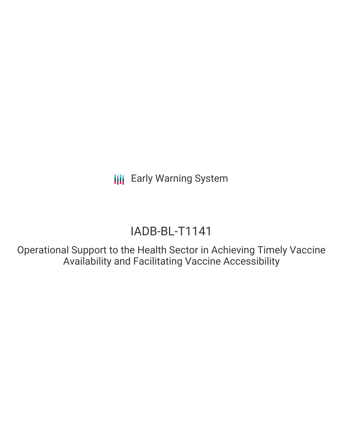**III** Early Warning System

# IADB-BL-T1141

Operational Support to the Health Sector in Achieving Timely Vaccine Availability and Facilitating Vaccine Accessibility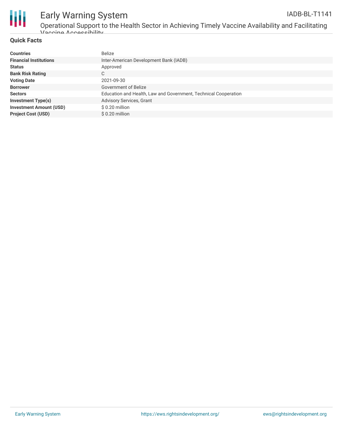

## Early Warning System

Operational Support to the Health Sector in Achieving Timely Vaccine Availability and Facilitating Vaccine Accessibility

#### **Quick Facts**

| <b>Countries</b>               | <b>Belize</b>                                                   |
|--------------------------------|-----------------------------------------------------------------|
| <b>Financial Institutions</b>  | Inter-American Development Bank (IADB)                          |
| <b>Status</b>                  | Approved                                                        |
| <b>Bank Risk Rating</b>        | С                                                               |
| <b>Voting Date</b>             | 2021-09-30                                                      |
| <b>Borrower</b>                | Government of Belize                                            |
| <b>Sectors</b>                 | Education and Health, Law and Government, Technical Cooperation |
| <b>Investment Type(s)</b>      | Advisory Services, Grant                                        |
| <b>Investment Amount (USD)</b> | $$0.20$ million                                                 |
| <b>Project Cost (USD)</b>      | $$0.20$ million                                                 |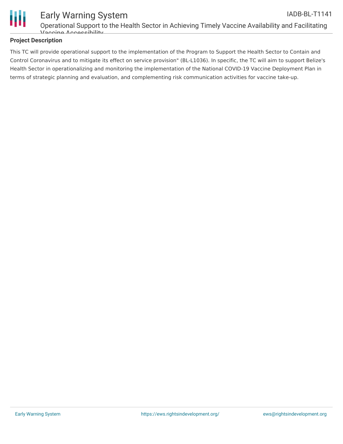

#### Early Warning System IADB-BL-T1141

Operational Support to the Health Sector in Achieving Timely Vaccine Availability and Facilitating Vaccine Accessibility

#### **Project Description**

This TC will provide operational support to the implementation of the Program to Support the Health Sector to Contain and Control Coronavirus and to mitigate its effect on service provision" (BL-L1036). In specific, the TC will aim to support Belize's Health Sector in operationalizing and monitoring the implementation of the National COVID-19 Vaccine Deployment Plan in terms of strategic planning and evaluation, and complementing risk communication activities for vaccine take-up.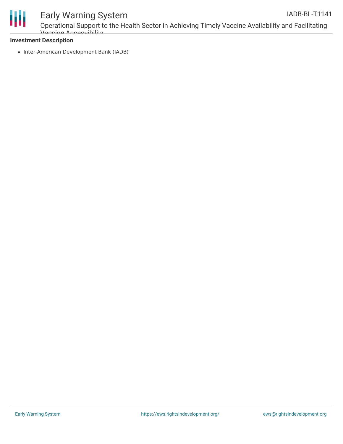

### Early Warning System

Operational Support to the Health Sector in Achieving Timely Vaccine Availability and Facilitating Vaccine Accessibility

#### **Investment Description**

• Inter-American Development Bank (IADB)